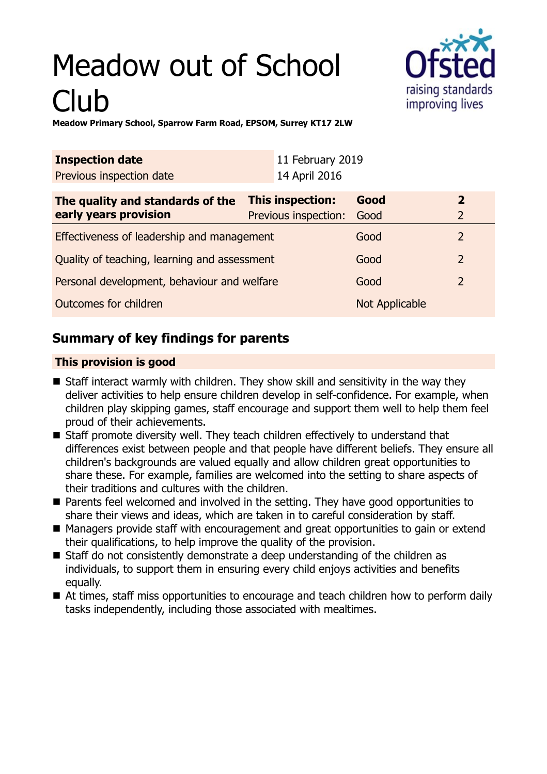# Meadow out of School Club



**Meadow Primary School, Sparrow Farm Road, EPSOM, Surrey KT17 2LW**

| <b>Inspection date</b>                       |                  | 11 February 2019     |                |                |
|----------------------------------------------|------------------|----------------------|----------------|----------------|
| Previous inspection date                     |                  | 14 April 2016        |                |                |
| The quality and standards of the             | This inspection: |                      | Good           | $\overline{2}$ |
| early years provision                        |                  | Previous inspection: | Good           | $\overline{2}$ |
| Effectiveness of leadership and management   |                  |                      | Good           | 2              |
| Quality of teaching, learning and assessment |                  |                      | Good           | $\overline{2}$ |
| Personal development, behaviour and welfare  |                  |                      | Good           | $\overline{2}$ |
| Outcomes for children                        |                  |                      | Not Applicable |                |

## **Summary of key findings for parents**

#### **This provision is good**

- $\blacksquare$  Staff interact warmly with children. They show skill and sensitivity in the way they deliver activities to help ensure children develop in self-confidence. For example, when children play skipping games, staff encourage and support them well to help them feel proud of their achievements.
- $\blacksquare$  Staff promote diversity well. They teach children effectively to understand that differences exist between people and that people have different beliefs. They ensure all children's backgrounds are valued equally and allow children great opportunities to share these. For example, families are welcomed into the setting to share aspects of their traditions and cultures with the children.
- Parents feel welcomed and involved in the setting. They have good opportunities to share their views and ideas, which are taken in to careful consideration by staff.
- Managers provide staff with encouragement and great opportunities to gain or extend their qualifications, to help improve the quality of the provision.
- $\blacksquare$  Staff do not consistently demonstrate a deep understanding of the children as individuals, to support them in ensuring every child enjoys activities and benefits equally.
- At times, staff miss opportunities to encourage and teach children how to perform daily tasks independently, including those associated with mealtimes.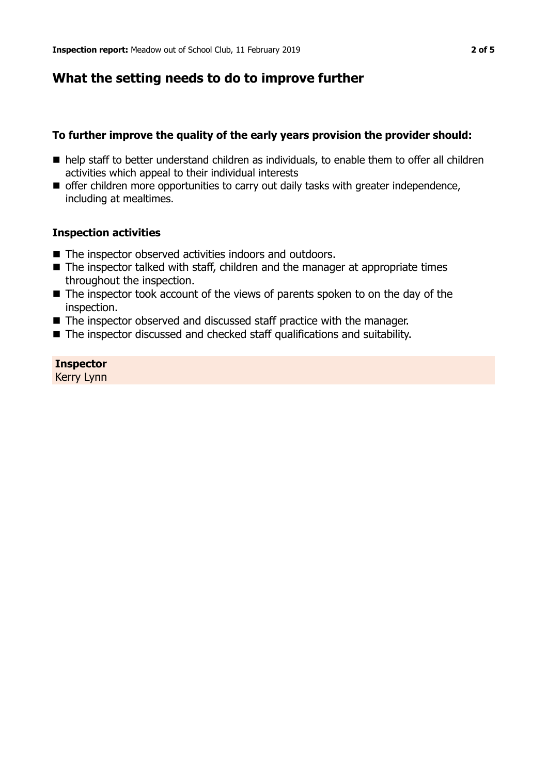### **What the setting needs to do to improve further**

#### **To further improve the quality of the early years provision the provider should:**

- $\blacksquare$  help staff to better understand children as individuals, to enable them to offer all children activities which appeal to their individual interests
- offer children more opportunities to carry out daily tasks with greater independence, including at mealtimes.

#### **Inspection activities**

- $\blacksquare$  The inspector observed activities indoors and outdoors.
- $\blacksquare$  The inspector talked with staff, children and the manager at appropriate times throughout the inspection.
- $\blacksquare$  The inspector took account of the views of parents spoken to on the day of the inspection.
- $\blacksquare$  The inspector observed and discussed staff practice with the manager.
- The inspector discussed and checked staff qualifications and suitability.

#### **Inspector**

Kerry Lynn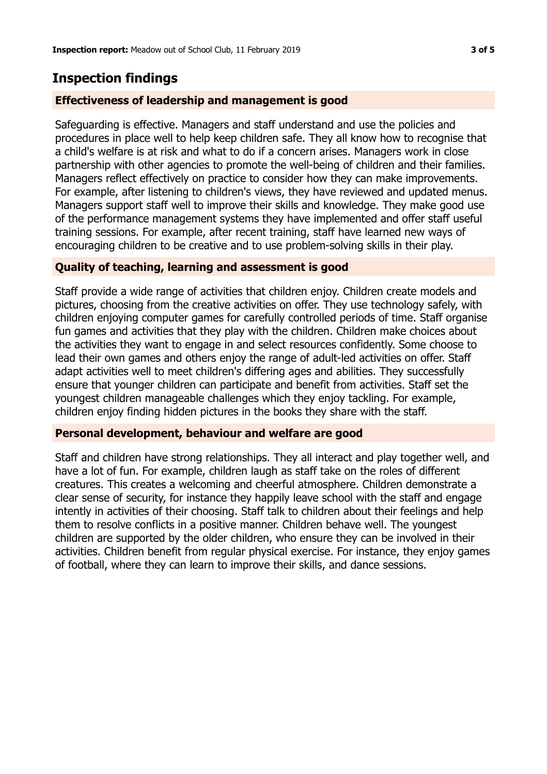## **Inspection findings**

#### **Effectiveness of leadership and management is good**

Safeguarding is effective. Managers and staff understand and use the policies and procedures in place well to help keep children safe. They all know how to recognise that a child's welfare is at risk and what to do if a concern arises. Managers work in close partnership with other agencies to promote the well-being of children and their families. Managers reflect effectively on practice to consider how they can make improvements. For example, after listening to children's views, they have reviewed and updated menus. Managers support staff well to improve their skills and knowledge. They make good use of the performance management systems they have implemented and offer staff useful training sessions. For example, after recent training, staff have learned new ways of encouraging children to be creative and to use problem-solving skills in their play.

#### **Quality of teaching, learning and assessment is good**

Staff provide a wide range of activities that children enjoy. Children create models and pictures, choosing from the creative activities on offer. They use technology safely, with children enjoying computer games for carefully controlled periods of time. Staff organise fun games and activities that they play with the children. Children make choices about the activities they want to engage in and select resources confidently. Some choose to lead their own games and others enjoy the range of adult-led activities on offer. Staff adapt activities well to meet children's differing ages and abilities. They successfully ensure that younger children can participate and benefit from activities. Staff set the youngest children manageable challenges which they enjoy tackling. For example, children enjoy finding hidden pictures in the books they share with the staff.

#### **Personal development, behaviour and welfare are good**

Staff and children have strong relationships. They all interact and play together well, and have a lot of fun. For example, children laugh as staff take on the roles of different creatures. This creates a welcoming and cheerful atmosphere. Children demonstrate a clear sense of security, for instance they happily leave school with the staff and engage intently in activities of their choosing. Staff talk to children about their feelings and help them to resolve conflicts in a positive manner. Children behave well. The youngest children are supported by the older children, who ensure they can be involved in their activities. Children benefit from regular physical exercise. For instance, they enjoy games of football, where they can learn to improve their skills, and dance sessions.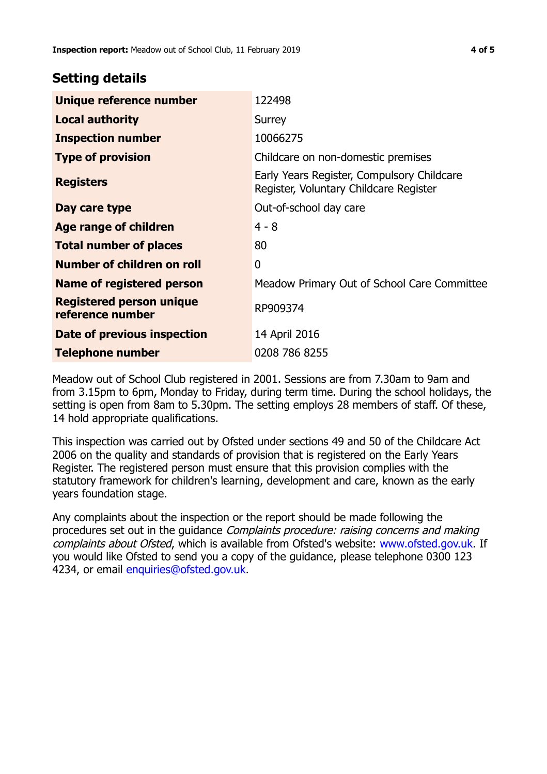#### **Setting details**

| Unique reference number                             | 122498                                                                               |  |
|-----------------------------------------------------|--------------------------------------------------------------------------------------|--|
| <b>Local authority</b>                              | Surrey                                                                               |  |
| <b>Inspection number</b>                            | 10066275                                                                             |  |
| <b>Type of provision</b>                            | Childcare on non-domestic premises                                                   |  |
| <b>Registers</b>                                    | Early Years Register, Compulsory Childcare<br>Register, Voluntary Childcare Register |  |
| Day care type                                       | Out-of-school day care                                                               |  |
| Age range of children                               | $4 - 8$                                                                              |  |
| <b>Total number of places</b>                       | 80                                                                                   |  |
| Number of children on roll                          | $\mathbf{0}$                                                                         |  |
| Name of registered person                           | Meadow Primary Out of School Care Committee                                          |  |
| <b>Registered person unique</b><br>reference number | RP909374                                                                             |  |
| <b>Date of previous inspection</b>                  | 14 April 2016                                                                        |  |
| Telephone number                                    | 0208 786 8255                                                                        |  |

Meadow out of School Club registered in 2001. Sessions are from 7.30am to 9am and from 3.15pm to 6pm, Monday to Friday, during term time. During the school holidays, the setting is open from 8am to 5.30pm. The setting employs 28 members of staff. Of these, 14 hold appropriate qualifications.

This inspection was carried out by Ofsted under sections 49 and 50 of the Childcare Act 2006 on the quality and standards of provision that is registered on the Early Years Register. The registered person must ensure that this provision complies with the statutory framework for children's learning, development and care, known as the early years foundation stage.

Any complaints about the inspection or the report should be made following the procedures set out in the quidance *Complaints procedure: raising concerns and making* complaints about Ofsted, which is available from Ofsted's website: www.ofsted.gov.uk. If you would like Ofsted to send you a copy of the guidance, please telephone 0300 123 4234, or email [enquiries@ofsted.gov.uk.](mailto:enquiries@ofsted.gov.uk)